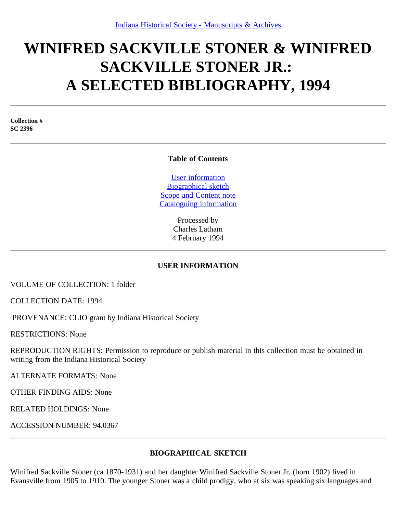# **WINIFRED SACKVILLE STONER & WINIFRED SACKVILLE STONER JR.: A SELECTED BIBLIOGRAPHY, 1994**

**Collection # SC 2396**

#### **Table of Contents**

[User information](#page-0-0) [Biographical sketch](#page-0-1) [Scope and Content note](#page-1-0) [Cataloguing information](#page-1-1)

> Processed by Charles Latham 4 February 1994

### **USER INFORMATION**

<span id="page-0-0"></span>VOLUME OF COLLECTION: 1 folder

COLLECTION DATE: 1994

PROVENANCE: CLIO grant by Indiana Historical Society

RESTRICTIONS: None

REPRODUCTION RIGHTS: Permission to reproduce or publish material in this collection must be obtained in writing from the Indiana Historical Society

ALTERNATE FORMATS: None

OTHER FINDING AIDS: None

RELATED HOLDINGS: None

ACCESSION NUMBER: 94.0367

### **BIOGRAPHICAL SKETCH**

<span id="page-0-1"></span>Winifred Sackville Stoner (ca 1870-1931) and her daughter Winifred Sackville Stoner Jr. (born 1902) lived in Evansville from 1905 to 1910. The younger Stoner was a child prodigy, who at six was speaking six languages and